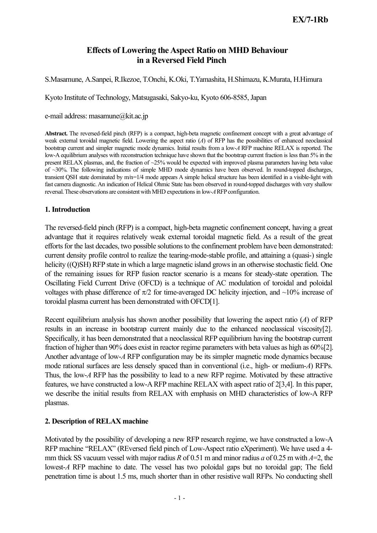# Effects of Lowering the Aspect Ratio on MHD Behaviour in a Reversed Field Pinch

S.Masamune, A.Sanpei, R.Ikezoe, T.Onchi, K.Oki, T.Yamashita, H.Shimazu, K.Murata, H.Himura

Kyoto Institute of Technology, Matsugasaki, Sakyo-ku, Kyoto 606-8585, Japan

#### e-mail address: masamune@kit.ac.jp

Abstract. The reversed-field pinch (RFP) is a compact, high-beta magnetic confinement concept with a great advantage of weak external toroidal magnetic field. Lowering the aspect ratio (*A*) of RFP has the possibilities of enhanced neoclassical bootstrap current and simpler magnetic mode dynamics. Initial results from a low-*A* RFP machine RELAX is reported. The low-A equilibrium analyses with reconstruction technique have shown that the bootstrap current fraction is less than 5% in the present RELAX plasmas, and, the fraction of ~25% would be expected with improved plasma parameters having beta value of  $\sim$ 30%. The following indications of simple MHD mode dynamics have been observed. In round-topped discharges, transient QSH state dominated by m/n=1/4 mode appears A simple helical structure has been identified in a visible-light with fast camera diagnostic. An indication of Helical Ohmic State has been observed in round-topped discharges with very shallow reversal. These observations are consistent with MHD expectations in low-*A* RFP configuration.

### 1. Introduction

The reversed-field pinch (RFP) is a compact, high-beta magnetic confinement concept, having a great advantage that it requires relatively weak external toroidal magnetic field. As a result of the great efforts for the last decades, two possible solutions to the confinement problem have been demonstrated: current density profile control to realize the tearing-mode-stable profile, and attaining a (quasi-) single helicity ((Q)SH) RFP state in which a large magnetic island grows in an otherwise stochastic field. One of the remaining issues for RFP fusion reactor scenario is a means for steady-state operation. The Oscillating Field Current Drive (OFCD) is a technique of AC modulation of toroidal and poloidal voltages with phase difference of  $\pi/2$  for time-averaged DC helicity injection, and ~10% increase of toroidal plasma current has been demonstrated with OFCD[1].

Recent equilibrium analysis has shown another possibility that lowering the aspect ratio (*A*) of RFP results in an increase in bootstrap current mainly due to the enhanced neoclassical viscosity[2]. Specifically, it has been demonstrated that a neoclassical RFP equilibrium having the bootstrap current fraction of higher than 90% does exist in reactor regime parameters with beta values as high as 60%[2]. Another advantage of low-*A* RFP configuration may be its simpler magnetic mode dynamics because mode rational surfaces are less densely spaced than in conventional (i.e., high- or medium-*A*) RFPs. Thus, the low-*A* RFP has the possibility to lead to a new RFP regime. Motivated by these attractive features, we have constructed a low-ARFP machine RELAX with aspect ratio of 2[3,4]. In this paper, we describe the initial results from RELAX with emphasis on MHD characteristics of low-A RFP plasmas.

# 2. Description of RELAX machine

Motivated by the possibility of developing a new RFP research regime, we have constructed a low-A RFP machine "RELAX" (REversed field pinch of Low-Aspect ratio eXperiment). We have used a 4 mm thick SS vacuum vessel with major radius *R* of 0.51 m and minor radius *a* of 0.25 m with *A*=2, the lowest-*A* RFP machine to date. The vessel has two poloidal gaps but no toroidal gap; The field penetration time is about 1.5 ms, much shorter than in other resistive wall RFPs. No conducting shell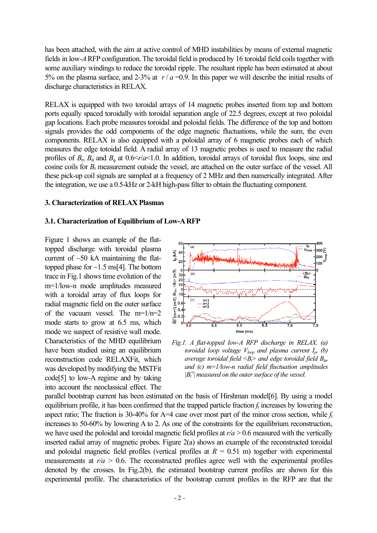has been attached, with the aim at active control of MHD instabilities by means of external magnetic fields in low-ARFP configuration. The toroidal field is produced by 16 toroidal field coils together with some auxiliary windings to reduce the toroidal ripple. The resultant ripple has been estimated at about 5% on the plasma surface, and 2-3% at  $r/a = 0.9$ . In this paper we will describe the initial results of discharge characteristics in RELAX.

RELAX is equipped with two toroidal arrays of 14 magnetic probes inserted from top and bottom ports equally spaced toroidally with toroidal separation angle of 22.5 degrees, except at two poloidal gap locations. Each probe measures toroidal and poloidal fields. The difference of the top and bottom signals provides the odd components of the edge magnetic fluctuations, while the sum, the even components. RELAX is also equipped with a poloidal array of 6 magnetic probes each of which measures the edge totoidal field. A radial array of 13 magnetic probes is used to measure the radial profiles of  $B_r$ ,  $B_\theta$  and  $B_\phi$  at 0.6  $\leq r/a \leq 1.0$ . In addition, toroidal arrays of toroidal flux loops, sine and cosine coils for *B*<sup>r</sup> measurement outside the vessel, are attached on the outer surface of the vessel. All these pick-up coil signals are sampled at a frequency of 2 MHz and then numerically integrated. After the integration, we use a 0.5-kHz or 2-kH high-passfilter to obtain the fluctuating component.

#### 3. Characterization of RELAX Plasmas

#### 3.1. Characterization of Equilibrium of Low-ARFP

Figure 1 shows an example of the flattopped discharge with toroidal plasma current of  $~50$  kA maintaining the flattopped phase for  $\sim$ 1.5 ms[4]. The bottom trace in Fig.1 showstime evolution of the m=1/low-n mode amplitudes measured with a toroidal array of flux loops for radial magnetic field on the outer surface of the vacuum vessel. The  $m=1/n=2$ mode starts to grow at 6.5 ms, which mode we suspect of resistive wall mode. Characteristics of the MHD equilibrium have been studied using an equilibrium reconstruction code RELAXFit, which was developed by modifying the MSTFit code[5] to low-A regime and by taking into account the neoclassical effect. The



*Fig.1. A flat-topped low-A RFP discharge in RELAX. (a) toroidal loop voltage*  $V_{loop}$  *and plasma current*  $I_p$ , *(b) average toroidal field <Bt > and edge toroidal field Bta, and (c) m=1/low-n radial field fluctuation amplitudes*  $|B_r^o|$  *measured on the outer surface of the vessel.* 

parallel bootstrap current has been estimated on the basis of Hirshman model[6]. By using a model equilibrium profile, it has been confirmed that the trapped particle fraction *f*<sup>t</sup> increases by lowering the aspect ratio; The fraction is 30-40% for A=4 case over most part of the minor cross section, while *f*<sup>t</sup> increases to 50-60% by lowering A to 2. As one of the constraints for the equilibrium reconstruction, we have used the poloidal and toroidal magnetic field profiles at *r/a* > 0.6 measured with the vertically inserted radial array of magnetic probes. Figure 2(a) shows an example of the reconstructed toroidal and poloidal magnetic field profiles (vertical profiles at  $R = 0.51$  m) together with experimental measurements at  $r/a > 0.6$ . The reconstructed profiles agree well with the experimental profiles denoted by the crosses. In Fig.2(b), the estimated bootstrap current profiles are shown for this experimental profile. The characteristics of the bootstrap current profiles in the RFP are that the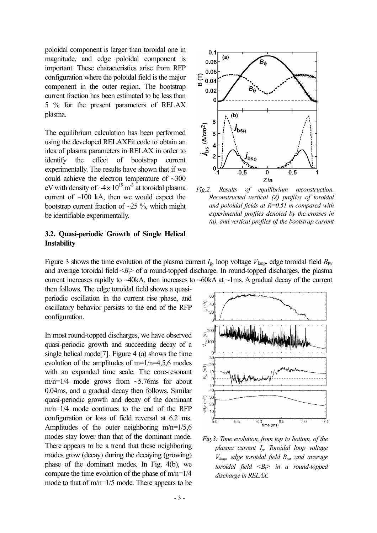poloidal component is larger than toroidal one in magnitude, and edge poloidal component is important. These characteristics arise from RFP configuration where the poloidal field is the major component in the outer region. The bootstrap current fraction has been estimated to be less than 5 % for the present parameters of RELAX plasma.

The equilibrium calculation has been performed using the developed RELAXFit code to obtain an idea of plasma parameters in RELAX in order to identify the effect of bootstrap current experimentally. The results have shown that if we could achieve the electron temperature of ~300 eV with density of  $-4 \times 10^{19}$  m<sup>-3</sup> at toroidal plasma current of  $\sim$ 100 kA, then we would expect the bootstrap current fraction of  $\sim$ 25 %, which might be identifiable experimentally.

# 3.2. Quasi-periodic Growth of Single Helical Instability



*Fig.2. Results of equilibrium reconstruction. Reconstructed vertical (Z) profiles of toroidal and poloidal fields at R=0.51 m compared with experimental profiles denoted by the crosses in (a), and vertical profiles of the bootstrap current*

Figure 3 shows the time evolution of the plasma current  $I_p$ , loop voltage  $V_{\text{loop}}$ , edge toroidal field  $B_{\text{tw}}$ and average toroidal field  $\langle B \rangle$  of a round-topped discharge. In round-topped discharges, the plasma current increases rapidly to ~40kA, then increases to ~60kA at ~1ms. A gradual decay of the current

then follows. The edge toroidal field shows a quasiperiodic oscillation in the current rise phase, and oscillatory behavior persists to the end of the RFP configuration.

In most round-topped discharges, we have observed quasi-periodic growth and succeeding decay of a single helical mode[7]. Figure 4 (a) shows the time evolution of the amplitudes of  $m=1/n=4,5,6$  modes with an expanded time scale. The core-resonant m/n=1/4 mode grows from  $\sim$ 5.76ms for about 0.04ms, and a gradual decay then follows. Similar quasi-periodic growth and decay of the dominant m/n=1/4 mode continues to the end of the RFP configuration or loss of field reversal at 6.2 ms. Amplitudes of the outer neighboring  $m/n=1/5,6$ modes stay lower than that of the dominant mode. There appears to be a trend that these neighboring modes grow (decay) during the decaying (growing) phase of the dominant modes. In Fig. 4(b), we compare the time evolution of the phase of  $m/n=1/4$ mode to that of m/n=1/5 mode. There appears to be



*Fig.3: Time evolution, from top to bottom, of the plasma current Ip, Toroidal loop voltage*  $V_{loop}$  *edge toroidal field*  $B_{tw}$  *and average toroidal field*  $\langle B \rangle$  *in a round-topped discharge in RELAX.*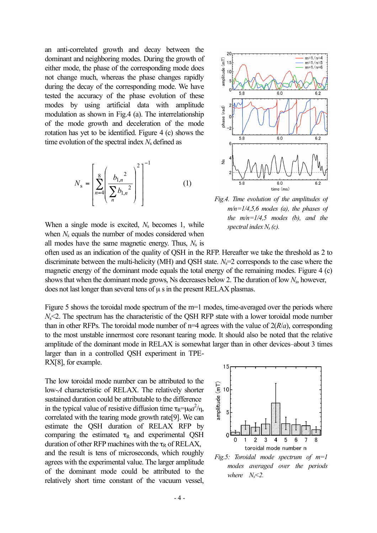an anti-correlated growth and decay between the dominant and neighboring modes. During the growth of either mode, the phase of the corresponding mode does not change much, whereas the phase changes rapidly during the decay of the corresponding mode. We have tested the accuracy of the phase evolution of these modes by using artificial data with amplitude modulation as shown in Fig.4 (a). The interrelationship of the mode growth and deceleration of the mode rotation has yet to be identified. Figure 4 (c) shows the time evolution of the spectral index  $N<sub>s</sub>$  defined as

$$
N_{\rm s} = \left[ \sum_{n=4}^{8} \left( \frac{b_{1,n}^{2}}{\sum_{n=4}^{8} b_{1,n}^{2}} \right)^{2} \right]^{-1}
$$
 (1)

When a single mode is excited,  $N_s$  becomes 1, while when *N*<sub>s</sub> equals the number of modes considered when all modes have the same magnetic energy. Thus,  $N_s$  is



*Fig.4. Time evolution of the amplitudes of m/n=1/4,5,6 modes (a), the phases of the m/n=1/4,5 modes (b), and the spectral indexNs (c).*

often used as an indication of the quality of QSH in the RFP. Hereafter we take the threshold as 2 to discriminate between the multi-helicity (MH) and QSH state. *N<sub>s</sub>*=2 corresponds to the case where the magnetic energy of the dominant mode equals the total energy of the remaining modes. Figure 4 (c) showsthat when the dominant mode grows, Ns decreases below 2. The duration of low *N*s, however, does not last longer than several tens of  $\mu$  s in the present RELAX plasmas.

Figure 5 shows the toroidal mode spectrum of the m=1 modes, time-averaged over the periods where *N*<2. The spectrum has the characteristic of the OSH RFP state with a lower toroidal mode number than in other RFPs. The toroidal mode number of  $n=4$  agrees with the value of  $2(R/a)$ , corresponding to the most unstable innermost core resonant tearing mode. It should also be noted that the relative amplitude of the dominant mode in RELAX is somewhat larger than in other devices–about 3 times larger than in a controlled QSH experiment in TPE-

RX[8], for example. The low toroidal mode number can be attributed to the low-*A* characteristic of RELAX. The relatively shorter sustained duration could be attributable to the difference in the typical value of resistive diffusion time  $\tau_R = \mu_0 a^2 / \eta$ , correlated with the tearing mode growth rate[9]. We can estimate the QSH duration of RELAX RFP by comparing the estimated  $\tau_R$  and experimental QSH duration of other RFP machines with the  $\tau_R$  of RELAX, and the result is tens of microseconds, which roughly agrees with the experimental value. The larger amplitude

of the dominant mode could be attributed to the relatively short time constant of the vacuum vessel,



*Fig.5: Toroidal mode spectrum of m=1 modes averaged over the periods where*  $N_s$  < 2.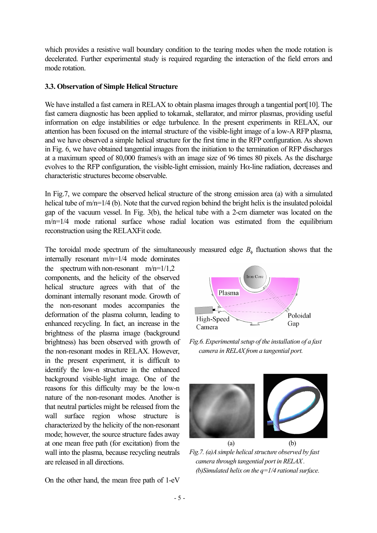which provides a resistive wall boundary condition to the tearing modes when the mode rotation is decelerated. Further experimental study is required regarding the interaction of the field errors and mode rotation.

# 3.3. Observation of Simple Helical Structure

We have installed a fast camera in RELAX to obtain plasma images through a tangential port[10]. The fast camera diagnostic has been applied to tokamak, stellarator, and mirror plasmas, providing useful information on edge instabilities or edge turbulence. In the present experiments in RELAX, our attention has been focused on the internal structure of the visible-light image of a low-A RFP plasma, and we have observed a simple helical structure for the first time in the RFP configuration. As shown in Fig. 6, we have obtained tangential images from the initiation to the termination of RFP discharges at a maximum speed of 80,000 frames/s with an image size of 96 times 80 pixels. As the discharge evolves to the RFP configuration, the visible-light emission, mainly Hα-line radiation, decreases and characteristic structures become observable.

In Fig.7, we compare the observed helical structure of the strong emission area (a) with a simulated helical tube of  $m/n=1/4$  (b). Note that the curved region behind the bright helix is the insulated poloidal gap of the vacuum vessel. In Fig. 3(b), the helical tube with a 2-cm diameter was located on the m/n=1/4 mode rational surface whose radial location was estimated from the equilibrium reconstruction using the RELAXFit code.

The toroidal mode spectrum of the simultaneously measured edge  $B_{\phi}$  fluctuation shows that the

internally resonant m/n=1/4 mode dominates the spectrum with non-resonant  $m/n=1/1,2$ components, and the helicity of the observed helical structure agrees with that of the dominant internally resonant mode. Growth of the non-resonant modes accompanies the deformation of the plasma column, leading to enhanced recycling. In fact, an increase in the brightness of the plasma image (background brightness) has been observed with growth of the non-resonant modes in RELAX. However, in the present experiment, it is difficult to identify the low-n structure in the enhanced background visible-light image. One of the reasons for this difficulty may be the low-n nature of the non-resonant modes. Another is that neutral particles might be released from the wall surface region whose structure is characterized by the helicity of the non-resonant mode; however, the source structure fades away at one mean free path (for excitation) from the wall into the plasma, because recycling neutrals are released in all directions.

On the other hand, the mean free path of 1-eV



*Fig.6.Experimentalsetup of the installation of a fast camera in RELAXfrom a tangential port.*



*Fig.7.* (a)*A* simple *helical structure observed by fast camera through tangential port in RELAX. (b)Simulated helix on the*  $q=1/4$  *rational surface.*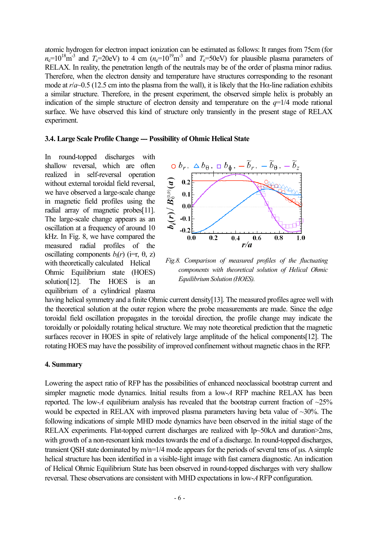atomic hydrogen for electron impact ionization can be estimated as follows: It ranges from 75cm (for  $n_e=10^{18}$  m<sup>-3</sup> and  $T_e=20$ eV) to 4 cm  $(n_e=10^{19}$  m<sup>-3</sup> and  $T_e=50$ eV) for plausible plasma parameters of RELAX. In reality, the penetration length of the neutrals may be of the order of plasma minor radius. Therefore, when the electron density and temperature have structures corresponding to the resonant mode at  $r/a$  -0.5 (12.5 cm into the plasma from the wall), it is likely that the H $\alpha$ -line radiation exhibits a similar structure. Therefore, in the present experiment, the observed simple helix is probably an indication of the simple structure of electron density and temperature on the  $q=1/4$  mode rational surface. We have observed this kind of structure only transiently in the present stage of RELAX experiment.

#### 3.4. Large Scale Profile Change --- Possibility of Ohmic Helical State

In round-topped discharges with shallow reversal, which are often realized in self-reversal operation without external toroidal field reversal, we have observed a large-scale change in magnetic field profiles using the radial array of magnetic probes[11]. The large-scale change appears as an oscillation at a frequency of around 10 kHz. In Fig. 8, we have compared the measured radial profiles of the oscillating components  $b_i(r)$  (i=r,  $\theta$ , z) with theoretically calculated Helical Ohmic Equilibrium state (HOES) solution[12]. The HOES is an equilibrium of a cylindrical plasma



*Fig.8. Comparison of measured profiles of the fluctuating components with theoretical solution of Helical Ohmic Equilibrium Solution (HOES).*

having helical symmetry and a finite Ohmic current density[13]. The measured profiles agree well with the theoretical solution at the outer region where the probe measurements are made. Since the edge toroidal field oscillation propagates in the toroidal direction, the profile change may indicate the toroidally or poloidally rotating helical structure. We may note theoretical prediction that the magnetic surfaces recover in HOES in spite of relatively large amplitude of the helical components[12]. The rotating HOES may have the possibility of improved confinement without magnetic chaos in the RFP.

### 4. Summary

Lowering the aspect ratio of RFP has the possibilities of enhanced neoclassical bootstrap current and simpler magnetic mode dynamics. Initial results from a low-*A* RFP machine RELAX has been reported. The low- $A$  equilibrium analysis has revealed that the bootstrap current fraction of  $\sim$ 25% would be expected in RELAX with improved plasma parameters having beta value of ~30%. The following indications of simple MHD mode dynamics have been observed in the initial stage of the RELAX experiments. Flat-topped current discharges are realized with Ip~50kA and duration>2ms, with growth of a non-resonant kink modes towards the end of a discharge. In round-topped discharges, transient QSH state dominated by  $m/n=1/4$  mode appears for the periods of several tens of  $\mu$ s. A simple helical structure has been identified in a visible-light image with fast camera diagnostic. An indication of Helical Ohmic Equilibrium State has been observed in round-topped discharges with very shallow reversal. These observations are consistent with MHD expectationsin low-*A*RFP configuration.